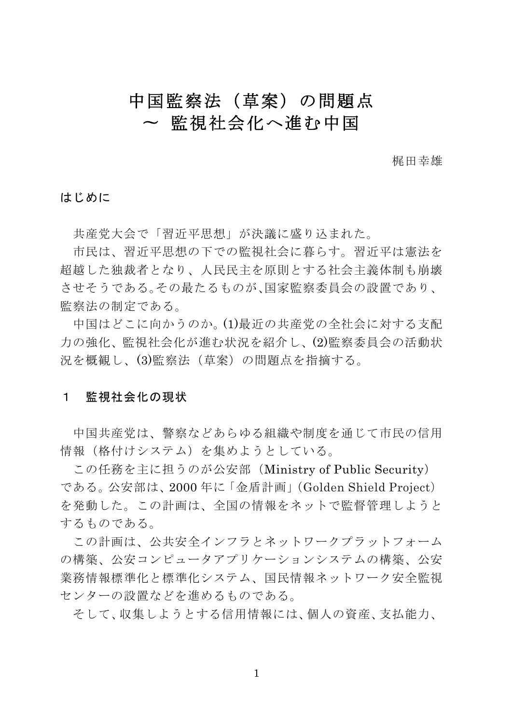# 中国監察法 (草案) の問題点 ~ 監視社会化へ進む中国

梶田幸雄

### はじめに

共産党大会で「習近平思想」が決議に盛り込まれた。

市民は、習近平思想の下での監視社会に暮らす。習近平は憲法を 超越した独裁者となり、人民民主を原則とする社会主義体制も崩壊 させそうである。その最たるものが、国家監察委員会の設置であり、 監察法の制定である。

中国はどこに向かうのか。(1)最近の共産党の全社会に対する支配 力の強化、監視社会化が進む状況を紹介し、(2)監察委員会の活動状 況を概観し、(3)監察法(草案)の問題点を指摘する。

### 監視社会化の現状  $\mathbf{1}$

中国共産党は、警察などあらゆる組織や制度を通じて市民の信用 情報(格付けシステム)を集めようとしている。

この任務を主に担うのが公安部 (Ministry of Public Security) である。公安部は、2000年に「金盾計画」(Golden Shield Project) を発動した。この計画は、全国の情報をネットで監督管理しようと するものである。

この計画は、公共安全インフラとネットワークプラットフォーム の構築、公安コンピュータアプリケーションシステムの構築、公安 業務情報標準化と標準化システム、国民情報ネットワーク安全監視 センターの設置などを進めるものである。

そして、収集しようとする信用情報には、個人の資産、支払能力、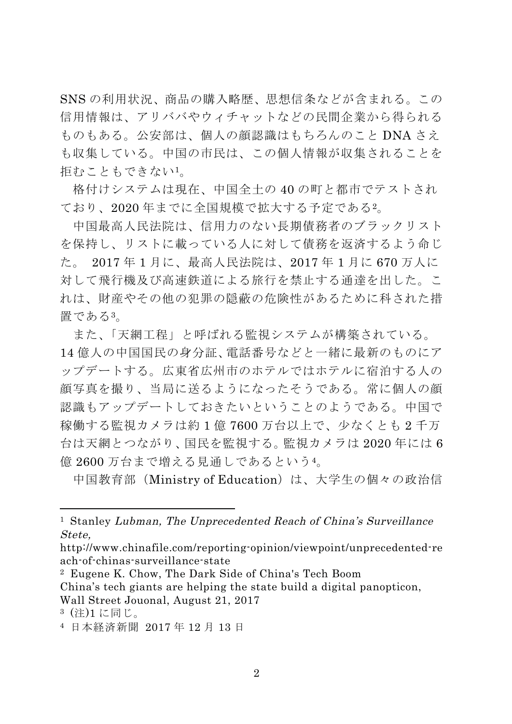SNSの利用状況、商品の購入略歴、思想信条などが含まれる。この 信用情報は、アリババやウィチャットなどの民間企業から得られる ものもある。公安部は、個人の顔認識はもちろんのこと DNA さえ も収集している。中国の市民は、この個人情報が収集されることを 拒むこともできない1。

格付けシステムは現在、中国全土の40の町と都市でテストされ ており、2020年までに全国規模で拡大する予定である2。

中国最高人民法院は、信用力のない長期債務者のブラックリスト を保持し、リストに載っている人に対して債務を返済するよう命じ た。 2017年1月に、最高人民法院は、2017年1月に670万人に 対して飛行機及び高速鉄道による旅行を禁止する通達を出した。こ れは、財産やその他の犯罪の隠蔽の危険性があるために科された措 置である3。

また、「天網工程」と呼ばれる監視システムが構築されている。 14億人の中国国民の身分証、電話番号などと一緒に最新のものにア ップデートする。広東省広州市のホテルではホテルに宿泊する人の 顔写真を撮り、当局に送るようになったそうである。常に個人の顔 認識もアップデートしておきたいということのようである。中国で 稼働する監視カメラは約1億7600万台以上で、少なくとも2千万 台は天網とつながり、国民を監視する。監視カメラは2020年には6 億2600万台まで増える見通しであるという4。

中国教育部 (Ministry of Education) は、大学生の個々の政治信

<sup>2</sup> Eugene K. Chow, The Dark Side of China's Tech Boom

China's tech giants are helping the state build a digital panopticon, Wall Street Jouonal, August 21, 2017

<sup>&</sup>lt;sup>1</sup> Stanley Lubman, The Unprecedented Reach of China's Surveillance Stete.

http://www.chinafile.com/reporting-opinion/viewpoint/unprecedented-re ach-of-chinas-surveillance-state

<sup>3 (</sup>注)1に同じ。

<sup>4</sup> 日本経済新聞 2017年12月13日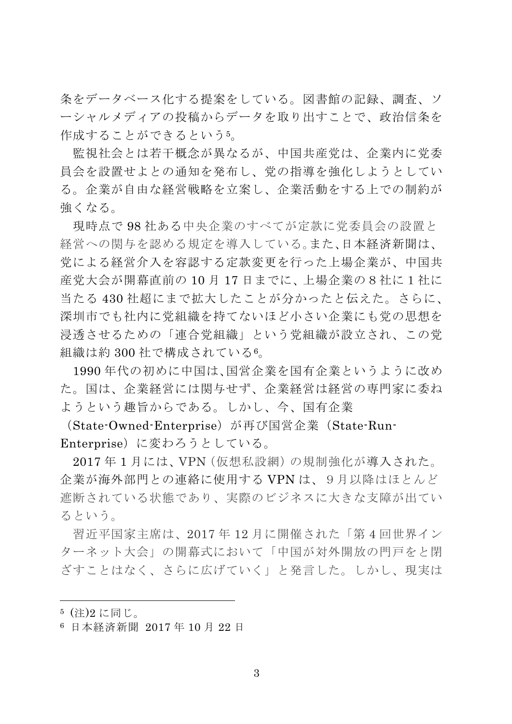条をデータベース化する提案をしている。図書館の記録、調査、ソ ーシャルメディアの投稿からデータを取り出すことで、政治信条を 作成することができるという5。

監視社会とは若干概念が異なるが、中国共産党は、企業内に党委 員会を設置せよとの通知を発布し、党の指導を強化しようとしてい る。企業が自由な経営戦略を立案し、企業活動をする上での制約が 強くなる。

現時点で98社ある中央企業のすべてが定款に党委員会の設置と 経営への関与を認める規定を導入している。また、日本経済新聞は、 党による経営介入を容認する定款変更を行った上場企業が、中国共 産党大会が開幕直前の10月17日までに、上場企業の8社に1社に 当たる430社超にまで拡大したことが分かったと伝えた。さらに、 深圳市でも社内に党組織を持てないほど小さい企業にも党の思想を 浸透させるための「連合党組織」という党組織が設立され、この党 組織は約300社で構成されている6。

1990年代の初めに中国は、国営企業を国有企業というように改め た。国は、企業経営には関与せず、企業経営は経営の専門家に委ね ようという趣旨からである。しかし、今、国有企業

(State-Owned-Enterprise) が再び国営企業 (State-Run-Enterprise)に変わろうとしている。

2017年1月には、VPN (仮想私設網) の規制強化が導入された。 企業が海外部門との連絡に使用するVPNは、9月以降はほとんど 遮断されている状態であり、実際のビジネスに大きな支障が出てい るという。

習近平国家主席は、2017年12月に開催された「第4回世界イン ターネット大会」の開幕式において「中国が対外開放の門戸をと閉 ざすことはなく、さらに広げていく」と発言した。しかし、現実は

<sup>5 (</sup>注)2に同じ。

<sup>6</sup> 日本経済新聞 2017年10月22日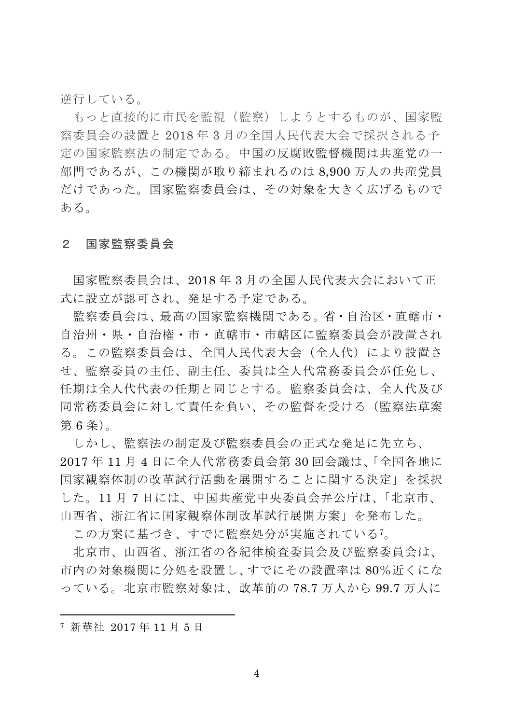逆行している。

もっと直接的に市民を監視(監察)しようとするものが、国家監 察委員会の設置と2018年3月の全国人民代表大会で採択される予 定の国家監察法の制定である。中国の反腐敗監督機関は共産党の一 部門であるが、この機関が取り締まれるのは8,900万人の共産党員 だけであった。国家監察委員会は、その対象を大きく広げるもので ある。

### 国家監察委員会  $\mathcal{P}$

国家監察委員会は、2018年3月の全国人民代表大会において正 式に設立が認可され、発足する予定である。

監察委員会は、最高の国家監察機関である。省・自治区・直轄市・ 自治州・県・自治権・市・直轄市・市轄区に監察委員会が設置され る。この監察委員会は、全国人民代表大会(全人代)により設置さ せ、監察委員の主任、副主任、委員は全人代常務委員会が任免し、 任期は全人代代表の任期と同じとする。監察委員会は、全人代及び 同常務委員会に対して責任を負い、その監督を受ける(監察法草案 第 $6$ 条)。

しかし、監察法の制定及び監察委員会の正式な発足に先立ち、 2017年11月4日に全人代常務委員会第30回会議は、「全国各地に 国家観察体制の改革試行活動を展開することに関する決定」を採択 した。11月7日には、中国共産党中央委員会弁公庁は、「北京市、 山西省、浙江省に国家観察体制改革試行展開方案」を発布した。

この方案に基づき、すでに監察処分が実施されている7。

北京市、山西省、浙江省の各紀律検査委員会及び監察委員会は、 市内の対象機関に分処を設置し、すでにその設置率は80%近くにな っている。北京市監察対象は、改革前の78.7 万人から99.7 万人に

7 新華社 2017年11月5日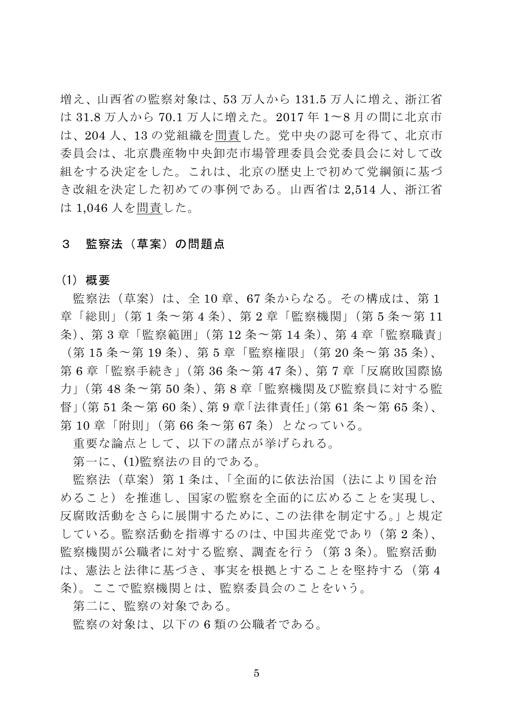増え、山西省の監察対象は、53万人から131.5万人に増え、浙江省 は31.8万人から70.1万人に増えた。2017年1~8月の間に北京市 は、204人、13の党組織を問責した。党中央の認可を得て、北京市 委員会は、北京農産物中央卸売市場管理委員会党委員会に対して改 組をする決定をした。これは、北京の歴史上で初めて党綱領に基づ き改組を決定した初めての事例である。山西省は2,514人、浙江省 は 1,046人を問責した。

### 監察法(草案)の問題点  $\mathcal{S}$

(1) 概要

監察法(草案)は、全10章、67条からなる。その構成は、第1 章「総則」(第1条~第4条)、第2章「監察機関」(第5条~第11 条)、第3章 「監察範囲」(第12条~第14条)、第4章 「監察職責」

(第15条~第19条)、第5章「監察権限」(第20条~第35条)、 第6章「監察手続き」(第 36 条~第 47 条)、第 7 章「反腐敗国際協 力」(第48条~第50条)、第8章「監察機関及び監察員に対する監 督」(第51条~第60条)、第9章「法律責任」(第61条~第65条)、 第10章「附則」(第66条~第67条)となっている。

重要な論点として、以下の諸点が挙げられる。

第一に、(1)監察法の目的である。

監察法(草案)第1条は、「全面的に依法治国(法により国を治 めること)を推進し、国家の監察を全面的に広めることを実現し、 反腐敗活動をさらに展開するために、この法律を制定する。」と規定 している。監察活動を指導するのは、中国共産党であり (第2条)、 監察機関が公職者に対する監察、調査を行う (第3条)。監察活動 は、憲法と法律に基づき、事実を根拠とすることを堅持する(第4 条)。ここで監察機関とは、監察委員会のことをいう。

第二に、監察の対象である。

監察の対象は、以下の6類の公職者である。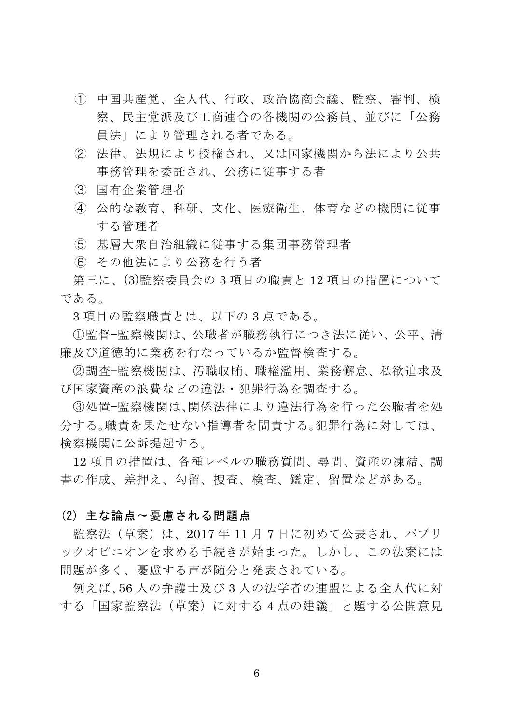- ① 中国共産党、全人代、行政、政治協商会議、監察、審判、検 察、民主党派及び工商連合の各機関の公務員、並びに「公務 員法」により管理される者である。
- ② 法律、法規により授権され、又は国家機関から法により公共 事務管理を委託され、公務に従事する者
- (3) 国有企業管理者
- ④ 公的な教育、科研、文化、医療衛生、体育などの機関に従事 する管理者
- 6 基層大衆自治組織に従事する集団事務管理者
- 6 その他法により公務を行う者

第三に、(3)監察委員会の3項目の職責と12項目の措置について である。

3項目の監察職責とは、以下の3点である。

1)監督-監察機関は、公職者が職務執行につき法に従い、公平、清 廉及び道徳的に業務を行なっているか監督検査する。

②調査-監察機関は、汚職収賄、職権濫用、業務懈怠、私欲追求及 び国家資産の浪費などの違法・犯罪行為を調査する。

③処置-監察機関は、関係法律により違法行為を行った公職者を処 分する。職責を果たせない指導者を問責する。犯罪行為に対しては、 検察機関に公訴提起する。

12項目の措置は、各種レベルの職務質問、尋問、資産の凍結、調 書の作成、差押え、勾留、捜査、検査、鑑定、留置などがある。

# (2) 主な論点~憂慮される問題点

監察法(草案)は、2017年11月7日に初めて公表され、パブリ ックオピニオンを求める手続きが始まった。しかし、この法案には 問題が多く、憂慮する声が随分と発表されている。

例えば、56人の弁護士及び3人の法学者の連盟による全人代に対 する「国家監察法(草案)に対する4点の建議」と題する公開意見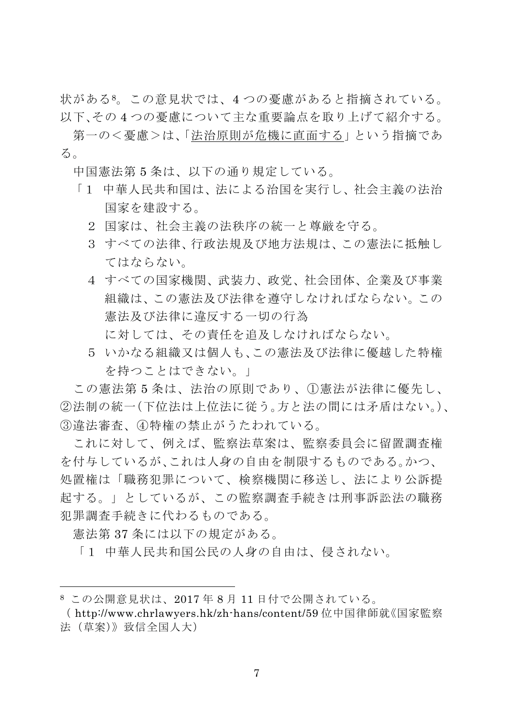状がある8。この意見状では、4つの憂慮があると指摘されている。 以下、その4つの憂慮について主な重要論点を取り上げて紹介する。

第一のく憂慮>は、「法治原則が危機に直面する」という指摘であ  $\mathcal{Z}_{\alpha}$ 

中国憲法第5条は、以下の通り規定している。

- 「1 中華人民共和国は、法による治国を実行し、社会主義の法治 国家を建設する。
	- 2 国家は、社会主義の法秩序の統一と尊厳を守る。
	- 3 すべての法律、行政法規及び地方法規は、この憲法に抵触し てはならない。
	- 4 すべての国家機関、武装力、政党、社会団体、企業及び事業 組織は、この憲法及び法律を導守しなければならない。この 憲法及び法律に違反する一切の行為

に対しては、その責任を追及しなければならない。

5 いかなる組織又は個人も、この憲法及び法律に優越した特権 を持つことはできない。|

この憲法第5条は、法治の原則であり、①憲法が法律に優先し、 ②法制の統一(下位法は上位法に従う。方と法の間には矛盾はない。)、 3違法審査、4特権の禁止がうたわれている。

これに対して、例えば、監察法草案は、監察委員会に留置調査権 を付与しているが、これは人身の自由を制限するものである。かつ、 処置権は「職務犯罪について、検察機関に移送し、法により公訴提 起する。」としているが、この監察調査手続きは刑事訴訟法の職務 犯罪調査手続きに代わるものである。

憲法第37条には以下の規定がある。

「1 中華人民共和国公民の人身の自由は、侵されない。

<sup>8</sup> この公開意見状は、2017年8月11日付で公開されている。

<sup>(</sup>http://www.chrlawyers.hk/zh-hans/content/59位中国律師就《国家監察 法(草案)》致信全国人大)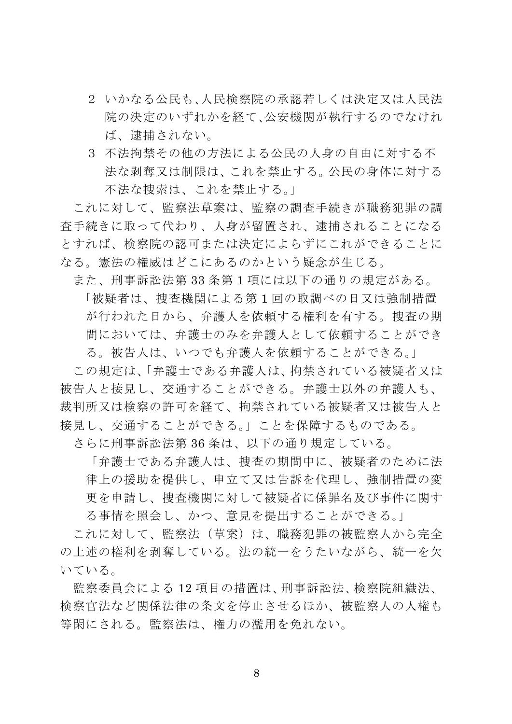- 2 いかなる公民も、人民検察院の承認若しくは決定又は人民法 院の決定のいずれかを経て、公安機関が執行するのでなけれ ば、逮捕されない。
- 3 不法拘禁その他の方法による公民の人身の自由に対する不 法な剥奪又は制限は、これを禁止する。公民の身体に対する 不法な捜索は、これを禁止する。」

これに対して、監察法草案は、監察の調査手続きが職務犯罪の調 査手続きに取って代わり、人身が留置され、逮捕されることになる とすれば、検察院の認可または決定によらずにこれができることに なる。憲法の権威はどこにあるのかという疑念が生じる。

また、刑事訴訟法第33条第1項には以下の通りの規定がある。

「被疑者は、捜査機関による第1回の取調べの日又は強制措置 が行われた日から、弁護人を依頼する権利を有する。捜査の期 間においては、弁護士のみを弁護人として依頼することができ る。被告人は、いつでも弁護人を依頼することができる。」

この規定は、「弁護士である弁護人は、拘禁されている被疑者又は 被告人と接見し、交通することができる。弁護士以外の弁護人も、 裁判所又は検察の許可を経て、拘禁されている被疑者又は被告人と 接見し、交通することができる。」ことを保障するものである。

さらに刑事訴訟法第36条は、以下の通り規定している。

「弁護士である弁護人は、捜査の期間中に、被疑者のために法 律上の援助を提供し、申立て又は告訴を代理し、強制措置の変 更を申請し、捜査機関に対して被疑者に係罪名及び事件に関す る事情を照会し、かつ、意見を提出することができる。|

これに対して、監察法(草案)は、職務犯罪の被監察人から完全 の上述の権利を剥奪している。法の統一をうたいながら、統一を欠 いている。

監察委員会による12項目の措置は、刑事訴訟法、検察院組織法、 検察官法など関係法律の条文を停止させるほか、被監察人の人権も 等閑にされる。監察法は、権力の濫用を免れない。

8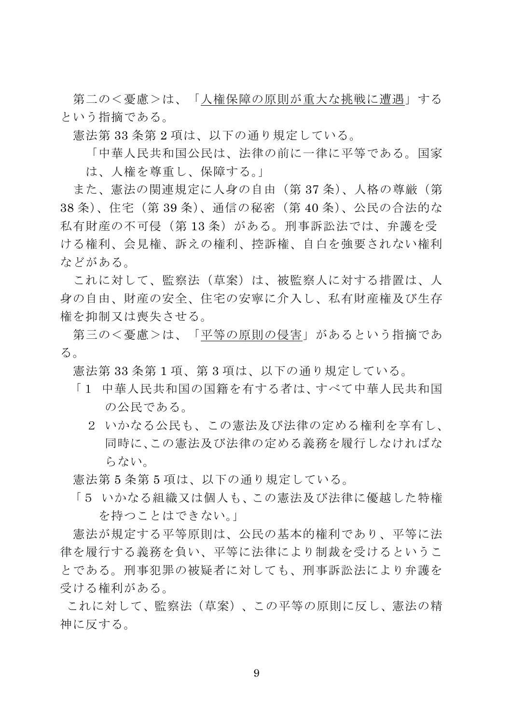第二の<憂慮>は、「人権保障の原則が重大な挑戦に遭遇」する という指摘である。

憲法第33条第2項は、以下の通り規定している。

「中華人民共和国公民は、法律の前に一律に平等である。国家 は、人権を尊重し、保障する。

また、憲法の関連規定に人身の自由(第37条)、人格の尊厳(第 38条)、住宅 (第39条)、通信の秘密 (第40条)、公民の合法的な 私有財産の不可侵(第13条)がある。刑事訴訟法では、弁護を受 ける権利、会見権、訴えの権利、控訴権、自白を強要されない権利 などがある。

これに対して、監察法(草案)は、被監察人に対する措置は、人 身の自由、財産の安全、住宅の安寧に介入し、私有財産権及び生存 権を抑制又は喪失させる。

第三の<憂慮>は、「平等の原則の侵害」があるという指摘であ  $\mathcal{Z}_{\alpha}$ 

憲法第33条第1項、第3項は、以下の通り規定している。

- 「1 中華人民共和国の国籍を有する者は、すべて中華人民共和国 の公民である。
	- 2 いかなる公民も、この憲法及び法律の定める権利を享有し、 同時に、この憲法及び法律の定める義務を履行しなければな らない。

憲法第5条第5項は、以下の通り規定している。

「5 いかなる組織又は個人も、この憲法及び法律に優越した特権 を持つことはできない。」

憲法が規定する平等原則は、公民の基本的権利であり、平等に法 律を履行する義務を負い、平等に法律により制裁を受けるというこ とである。刑事犯罪の被疑者に対しても、刑事訴訟法により弁護を 受ける権利がある。

これに対して、監察法(草案)、この平等の原則に反し、憲法の精 神に反する。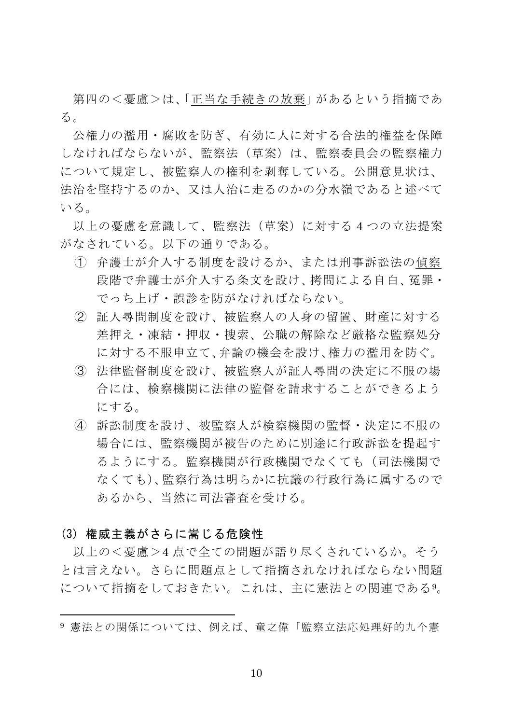第四の<憂慮>は、「正当な手続きの放棄」があるという指摘であ  $\mathcal{Z}_{\alpha}$ 

公権力の濫用・腐敗を防ぎ、有効に人に対する合法的権益を保障 しなければならないが、監察法(草案)は、監察委員会の監察権力 について規定し、被監察人の権利を剥奪している。公開意見状は、 法治を堅持するのか、又は人治に走るのかの分水嶺であると述べて いる。

以上の憂慮を意識して、監察法(草案)に対する4つの立法提案 がなされている。以下の通りである。

- (1) 弁護士が介入する制度を設けるか、または刑事訴訟法の偵察 段階で弁護士が介入する条文を設け、拷問による自白、冤罪· でっち上げ・誤診を防がなければならない。
- ② 証人尋問制度を設け、被監察人の人身の留置、財産に対する 差押え·凍結·押収·捜索、公職の解除など厳格な監察処分 に対する不服申立て、弁論の機会を設け、権力の濫用を防ぐ。
- ③ 法律監督制度を設け、被監察人が証人尋問の決定に不服の場 合には、検察機関に法律の監督を請求することができるよう にする。
- ④ 訴訟制度を設け、被監察人が検察機関の監督・決定に不服の 場合には、監察機関が被告のために別涂に行政訴訟を提起す るようにする。監察機関が行政機関でなくても(司法機関で なくても)、監察行為は明らかに抗議の行政行為に属するので あるから、当然に司法審査を受ける。

# (3) 権威主義がさらに嵩じる危険性

以上の<憂慮>4点で全ての問題が語り尽くされているか。そう とは言えない。さらに問題点として指摘されなければならない問題 について指摘をしておきたい。これは、主に憲法との関連である9。

<sup>9</sup> 憲法との関係については、例えば、童之偉「監察立法応処理好的九个憲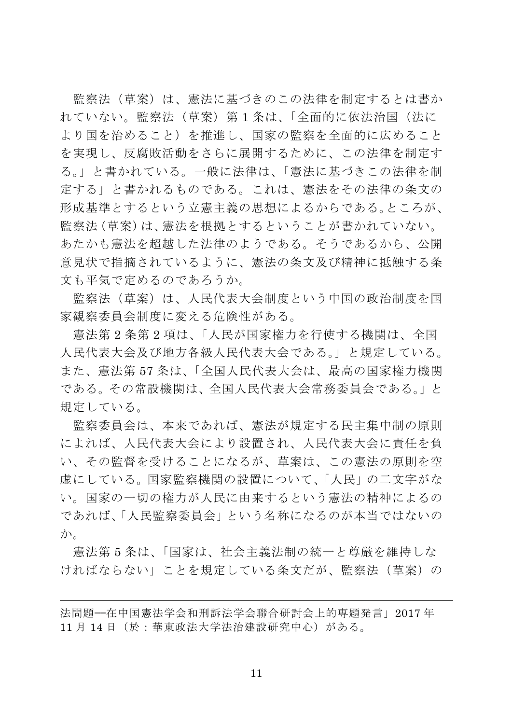監察法(草案)は、憲法に基づきのこの法律を制定するとは書か れていない。監察法(草案)第1条は、「全面的に依法治国(法に より国を治めること)を推進し、国家の監察を全面的に広めること を実現し、反腐敗活動をさらに展開するために、この法律を制定す る。」と書かれている。一般に法律は、「憲法に基づきこの法律を制 定する」と書かれるものである。これは、憲法をその法律の条文の 形成基準とするという立憲主義の思想によるからである。ところが、 監察法(草案)は、憲法を根拠とするということが書かれていない。 あたかも憲法を超越した法律のようである。そうであるから、公開 意見状で指摘されているように、憲法の条文及び精神に抵触する条 文も平気で定めるのであろうか。

監察法(草案)は、人民代表大会制度という中国の政治制度を国 家観察委員会制度に変える危険性がある。

憲法第2条第2項は、「人民が国家権力を行使する機関は、全国 人民代表大会である。」と規定している。 また、憲法第 57 条は、「全国人民代表大会は、最高の国家権力機関 である。その常設機関は、全国人民代表大会常務委員会である。」と 規定している。

監察委員会は、本来であれば、憲法が規定する民主集中制の原則 によれば、人民代表大会に青任を負 い、その監督を受けることになるが、草案は、この憲法の原則を空 虚にしている。国家監察機関の設置について、「人民」の二文字がな い。国家の一切の権力が人民に由来するという憲法の精神によるの であれば、「人民監察委員会」という名称になるのが本当ではないの  $\vec{D}$ 

憲法第5条は、「国家は、社会主義法制の統一と尊厳を維持しな ければならない」ことを規定している条文だが、監察法(草案)の

法問題--在中国憲法学会和刑訴法学会聯合研討会上的専題発言」2017年 11 月 14 日 (於:華東政法大学法治建設研究中心) がある。

 $\overline{a}$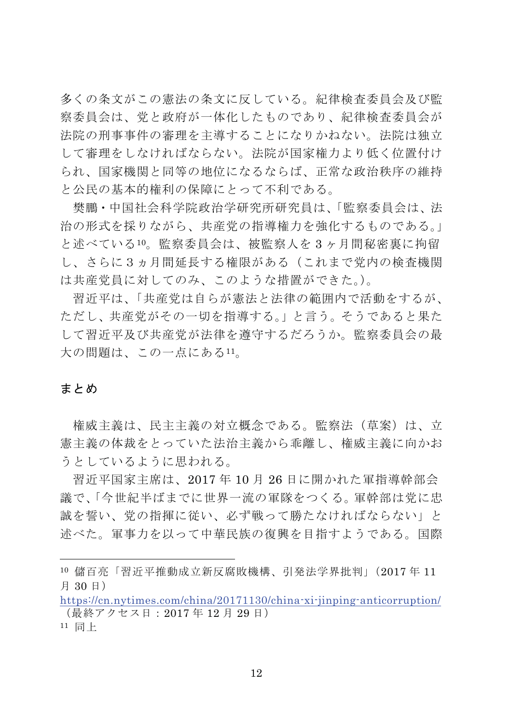多くの条文がこの憲法の条文に反している。紀律検査委員会及び監 察委員会は、党と政府が一体化したものであり、紀律検査委員会が 法院の刑事事件の審理を主導することになりかねない。法院は独立 して審理をしなければならない。法院が国家権力より低く位置付け られ、国家機関と同等の地位になるならば、正常な政治秩序の維持 と公民の基本的権利の保障にとって不利である。

樊鵬・中国社会科学院政治学研究所研究員は、「監察委員会は、法 治の形式を採りながら、共産党の指導権力を強化するものである。| と述べている10。監察委員会は、被監察人を3ヶ月間秘密裏に拘留 し、さらに3ヵ月間延長する権限がある(これまで党内の検査機関 は共産党員に対してのみ、このような措置ができた。)。

習近平は、「共産党は自らが憲法と法律の範囲内で活動をするが、 ただし、共産党がその一切を指導する。」と言う。そうであると果た して習近平及び共産党が法律を遵守するだろうか。監察委員会の最 大の問題は、この一点にある11。

# まとめ

権威主義は、民主主義の対立概念である。監察法(草案)は、立 憲主義の体裁をとっていた法治主義から乖離し、権威主義に向かお うとしているように思われる。

習近平国家主席は、2017年10月26日に開かれた軍指導幹部会 議で、「今世紀半ばまでに世界一流の軍隊をつくる。軍幹部は党に忠 誠を誓い、党の指揮に従い、必ず戦って勝たなければならない」と 述べた。軍事力を以って中華民族の復興を目指すようである。国際

11 同 上

<sup>10</sup> 儲百亮「習近平推動成立新反腐敗機構、引発法学界批判」(2017年11 月 30日)

https://cn.nytimes.com/china/20171130/china-xi-jinping-anticorruption/ (最終アクセス日: 2017年12月29日)